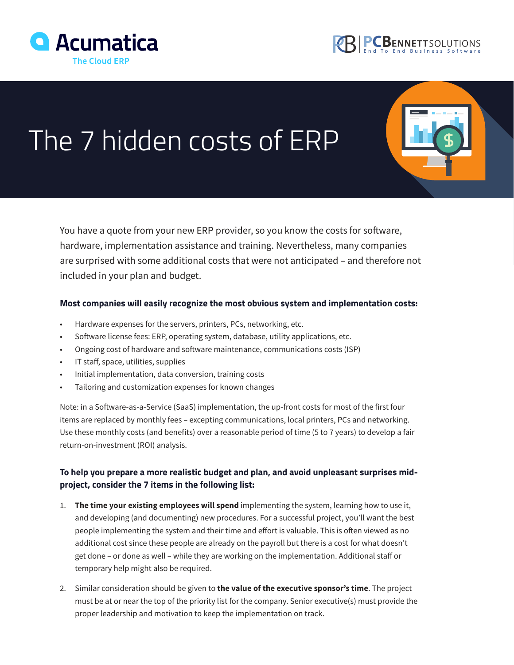



## The 7 hidden costs of ERP

You have a quote from your new ERP provider, so you know the costs for software, hardware, implementation assistance and training. Nevertheless, many companies are surprised with some additional costs that were not anticipated – and therefore not included in your plan and budget.

## **Most companies will easily recognize the most obvious system and implementation costs:**

- Hardware expenses for the servers, printers, PCs, networking, etc.
- Software license fees: ERP, operating system, database, utility applications, etc.
- Ongoing cost of hardware and software maintenance, communications costs (ISP)
- IT staff, space, utilities, supplies
- Initial implementation, data conversion, training costs
- Tailoring and customization expenses for known changes

Note: in a Software-as-a-Service (SaaS) implementation, the up-front costs for most of the first four items are replaced by monthly fees – excepting communications, local printers, PCs and networking. Use these monthly costs (and benefits) over a reasonable period of time (5 to 7 years) to develop a fair return-on-investment (ROI) analysis.

## **To help you prepare a more realistic budget and plan, and avoid unpleasant surprises midproject, consider the 7 items in the following list:**

- 1. **The time your existing employees will spend** implementing the system, learning how to use it, and developing (and documenting) new procedures. For a successful project, you'll want the best people implementing the system and their time and effort is valuable. This is often viewed as no additional cost since these people are already on the payroll but there is a cost for what doesn't get done – or done as well – while they are working on the implementation. Additional staff or temporary help might also be required.
- 2. Similar consideration should be given to **the value of the executive sponsor's time**. The project must be at or near the top of the priority list for the company. Senior executive(s) must provide the proper leadership and motivation to keep the implementation on track.